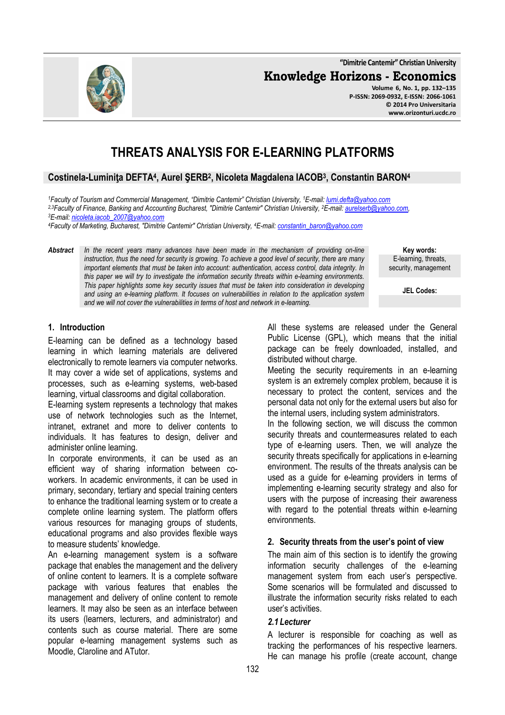**"Dimitrie Cantemir" Christian University**

**Knowledge Horizons - Economics**

**Volume 6, No. 1, pp. 132–135 P-ISSN: 2069-0932, E-ISSN: 2066-1061 © 2014 Pro Universitaria www.orizonturi.ucdc.ro**

# **THREATS ANALYSIS FOR E-LEARNING PLATFORMS**

# **Costinela-Luminiţa DEFTA<sup>4</sup> , Aurel ŞERB<sup>2</sup> , Nicoleta Magdalena IACOB<sup>3</sup> , Constantin BARON<sup>4</sup>**

*<sup>1</sup>Faculty of Tourism and Commercial Management, "Dimitrie Cantemir" Christian University, <sup>1</sup>E-mail: lumi.defta@yahoo.com 2,3Faculty of Finance, Banking and Accounting Bucharest, "Dimitrie Cantemir" Christian University, <sup>2</sup>E-mail: aurelserb@yahoo.com, <sup>3</sup>E-mail: nicoleta.iacob\_2007@yahoo.com*

*<sup>4</sup>Faculty of Marketing, Bucharest, "Dimitrie Cantemir" Christian University, <sup>4</sup>E-mail: constantin\_baron@yahoo.com*

*Abstract In the recent years many advances have been made in the mechanism of providing on-line instruction, thus the need for security is growing. To achieve a good level of security, there are many important elements that must be taken into account: authentication, access control, data integrity. In this paper we will try to investigate the information security threats within e-learning environments. This paper highlights some key security issues that must be taken into consideration in developing and using an e-learning platform. It focuses on vulnerabilities in relation to the application system and we will not cover the vulnerabilities in terms of host and network in e-learning.* 

**Key words:** E-learning, threats, security, management

**JEL Codes:**

#### **1. Introduction**

E-learning can be defined as a technology based learning in which learning materials are delivered electronically to remote learners via computer networks. It may cover a wide set of applications, systems and processes, such as e-learning systems, web-based learning, virtual classrooms and digital collaboration.

E-learning system represents a technology that makes use of network technologies such as the Internet, intranet, extranet and more to deliver contents to individuals. It has features to design, deliver and administer online learning.

In corporate environments, it can be used as an efficient way of sharing information between coworkers. In academic environments, it can be used in primary, secondary, tertiary and special training centers to enhance the traditional learning system or to create a complete online learning system. The platform offers various resources for managing groups of students, educational programs and also provides flexible ways to measure students' knowledge.

An e-learning management system is a software package that enables the management and the delivery of online content to learners. It is a complete software package with various features that enables the management and delivery of online content to remote learners. It may also be seen as an interface between its users (learners, lecturers, and administrator) and contents such as course material. There are some popular e-learning management systems such as Moodle, Claroline and ATutor.

All these systems are released under the General Public License (GPL), which means that the initial package can be freely downloaded, installed, and distributed without charge.

Meeting the security requirements in an e-learning system is an extremely complex problem, because it is necessary to protect the content, services and the personal data not only for the external users but also for the internal users, including system administrators.

In the following section, we will discuss the common security threats and countermeasures related to each type of e-learning users. Then, we will analyze the security threats specifically for applications in e-learning environment. The results of the threats analysis can be used as a guide for e-learning providers in terms of implementing e-learning security strategy and also for users with the purpose of increasing their awareness with regard to the potential threats within e-learning environments.

#### **2. Security threats from the user's point of view**

The main aim of this section is to identify the growing information security challenges of the e-learning management system from each user's perspective. Some scenarios will be formulated and discussed to illustrate the information security risks related to each user's activities.

#### *2.1 Lecturer*

A lecturer is responsible for coaching as well as tracking the performances of his respective learners. He can manage his profile (create account, change

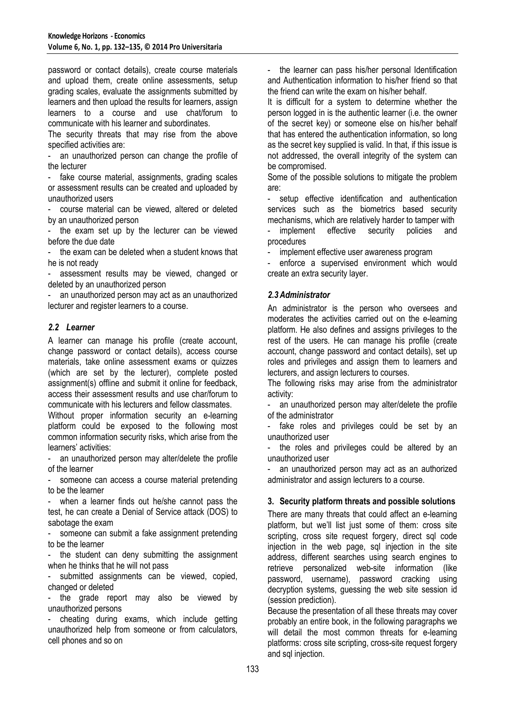password or contact details), create course materials and upload them, create online assessments, setup grading scales, evaluate the assignments submitted by learners and then upload the results for learners, assign learners to a course and use chat/forum to communicate with his learner and subordinates.

The security threats that may rise from the above specified activities are:

an unauthorized person can change the profile of the lecturer

fake course material, assignments, grading scales or assessment results can be created and uploaded by unauthorized users

course material can be viewed, altered or deleted by an unauthorized person

- the exam set up by the lecturer can be viewed before the due date

the exam can be deleted when a student knows that he is not ready

assessment results may be viewed, changed or deleted by an unauthorized person

- an unauthorized person may act as an unauthorized lecturer and register learners to a course.

# *2.2 Learner*

A learner can manage his profile (create account, change password or contact details), access course materials, take online assessment exams or quizzes (which are set by the lecturer), complete posted assignment(s) offline and submit it online for feedback, access their assessment results and use char/forum to communicate with his lecturers and fellow classmates.

Without proper information security an e-learning platform could be exposed to the following most common information security risks, which arise from the learners' activities:

- an unauthorized person may alter/delete the profile of the learner

someone can access a course material pretending to be the learner

when a learner finds out he/she cannot pass the test, he can create a Denial of Service attack (DOS) to sabotage the exam

someone can submit a fake assignment pretending to be the learner

- the student can deny submitting the assignment when he thinks that he will not pass

submitted assignments can be viewed, copied, changed or deleted

- the grade report may also be viewed by unauthorized persons

- cheating during exams, which include getting unauthorized help from someone or from calculators, cell phones and so on

the learner can pass his/her personal Identification and Authentication information to his/her friend so that the friend can write the exam on his/her behalf.

It is difficult for a system to determine whether the person logged in is the authentic learner (i.e. the owner of the secret key) or someone else on his/her behalf that has entered the authentication information, so long as the secret key supplied is valid. In that, if this issue is not addressed, the overall integrity of the system can be compromised.

Some of the possible solutions to mitigate the problem are:

setup effective identification and authentication services such as the biometrics based security mechanisms, which are relatively harder to tamper with

implement effective security policies and procedures

implement effective user awareness program

enforce a supervised environment which would create an extra security layer.

#### *2.3Administrator*

An administrator is the person who oversees and moderates the activities carried out on the e-learning platform. He also defines and assigns privileges to the rest of the users. He can manage his profile (create account, change password and contact details), set up roles and privileges and assign them to learners and lecturers, and assign lecturers to courses.

The following risks may arise from the administrator activity:

an unauthorized person may alter/delete the profile of the administrator

fake roles and privileges could be set by an unauthorized user

the roles and privileges could be altered by an unauthorized user

an unauthorized person may act as an authorized administrator and assign lecturers to a course.

# **3. Security platform threats and possible solutions**

There are many threats that could affect an e-learning platform, but we'll list just some of them: cross site scripting, cross site request forgery, direct sql code injection in the web page, sql injection in the site address, different searches using search engines to retrieve personalized web-site information (like password, username), password cracking using decryption systems, guessing the web site session id (session prediction).

Because the presentation of all these threats may cover probably an entire book, in the following paragraphs we will detail the most common threats for e-learning platforms: cross site scripting, cross-site request forgery and sql injection.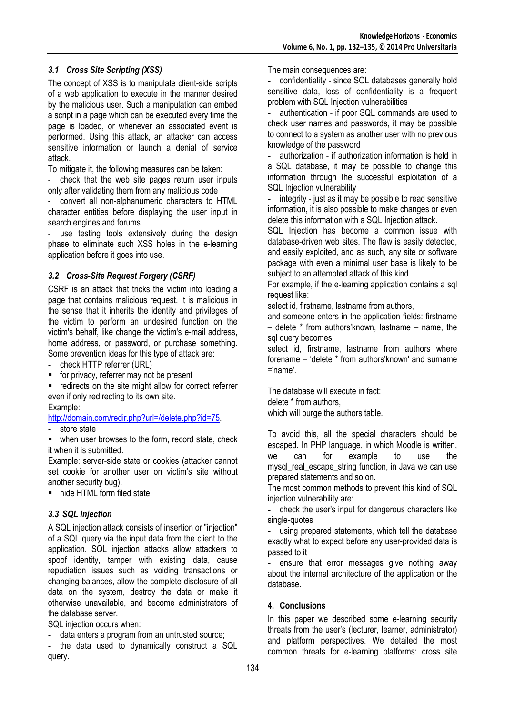# *3.1 Cross Site Scripting (XSS)*

The concept of XSS is to manipulate client-side scripts of a web application to execute in the manner desired by the malicious user. Such a manipulation can embed a script in a page which can be executed every time the page is loaded, or whenever an associated event is performed. Using this attack, an attacker can access sensitive information or launch a denial of service attack.

To mitigate it, the following measures can be taken:

check that the web site pages return user inputs only after validating them from any malicious code

- convert all non-alphanumeric characters to HTML character entities before displaying the user input in search engines and forums

use testing tools extensively during the design phase to eliminate such XSS holes in the e-learning application before it goes into use.

# *3.2 Cross-Site Request Forgery (CSRF)*

CSRF is an attack that tricks the victim into loading a page that contains malicious request. It is malicious in the sense that it inherits the identity and privileges of the victim to perform an undesired function on the victim's behalf, like change the victim's e-mail address, home address, or password, or purchase something. Some prevention ideas for this type of attack are:

check HTTP referrer (URL)

for privacy, referrer may not be present

 redirects on the site might allow for correct referrer even if only redirecting to its own site.

#### Example:

http://domain.com/redir.php?url=/delete.php?id=75.

store state

• when user browses to the form, record state, check it when it is submitted.

Example: server-side state or cookies (attacker cannot set cookie for another user on victim's site without another security bug).

■ hide HTML form filed state.

#### *3.3 SQL Injection*

A SQL injection attack consists of insertion or "injection" of a SQL query via the input data from the client to the application. SQL injection attacks allow attackers to spoof identity, tamper with existing data, cause repudiation issues such as voiding transactions or changing balances, allow the complete disclosure of all data on the system, destroy the data or make it otherwise unavailable, and become administrators of the database server.

SQL injection occurs when:

data enters a program from an untrusted source;

- the data used to dynamically construct a SQL query.

The main consequences are:

confidentiality - since SQL databases generally hold sensitive data, loss of confidentiality is a frequent problem with SQL Injection vulnerabilities

authentication - if poor SQL commands are used to check user names and passwords, it may be possible to connect to a system as another user with no previous knowledge of the password

authorization - if authorization information is held in a SQL database, it may be possible to change this information through the successful exploitation of a SQL Injection vulnerability

integrity - just as it may be possible to read sensitive information, it is also possible to make changes or even delete this information with a SQL Injection attack.

SQL Injection has become a common issue with database-driven web sites. The flaw is easily detected, and easily exploited, and as such, any site or software package with even a minimal user base is likely to be subject to an attempted attack of this kind.

For example, if the e-learning application contains a sql request like:

select id, firstname, lastname from authors,

and someone enters in the application fields: firstname – delete \* from authors'known, lastname – name, the sql query becomes:

select id, firstname, lastname from authors where forename = 'delete \* from authors'known' and surname ='name'.

The database will execute in fact: delete \* from authors, which will purge the authors table.

To avoid this, all the special characters should be escaped. In PHP language, in which Moodle is written, we can for example to use the mysgl\_real\_escape\_string function, in Java we can use prepared statements and so on.

The most common methods to prevent this kind of SQL iniection vulnerability are:

- check the user's input for dangerous characters like single-quotes

using prepared statements, which tell the database exactly what to expect before any user-provided data is passed to it

ensure that error messages give nothing away about the internal architecture of the application or the database.

#### **4. Conclusions**

In this paper we described some e-learning security threats from the user's (lecturer, learner, administrator) and platform perspectives. We detailed the most common threats for e-learning platforms: cross site